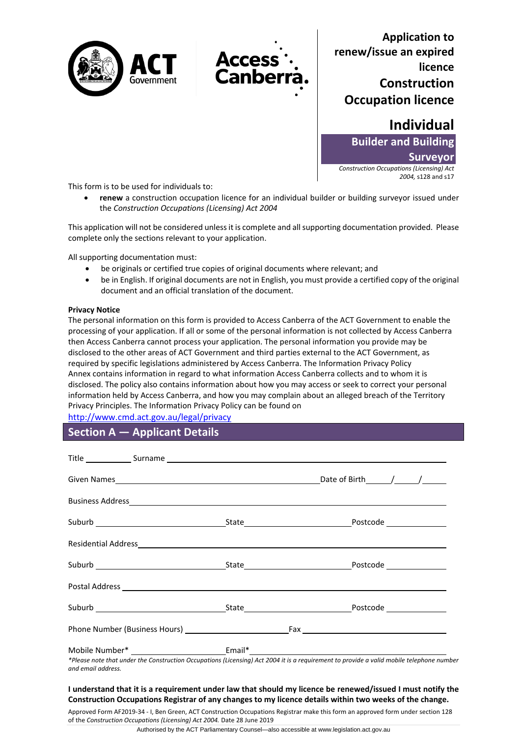



**Application to renew/issue an expired licence Construction Occupation licence** 

> **Individual Builder and Building**

**Surveyor**

*Construction Occupations (Licensing) Act 2004,* s128 and s17

This form is to be used for individuals to:

• **renew** a construction occupation licence for an individual builder or building surveyor issued under the *Construction Occupations (Licensing) Act 2004*

This application will not be considered unless it is complete and all supporting documentation provided. Please complete only the sections relevant to your application.

All supporting documentation must:

- be originals or certified true copies of original documents where relevant; and
- be in English. If original documents are not in English, you must provide a certified copy of the original document and an official translation of the document.

### **Privacy Notice**

The personal information on this form is provided to Access Canberra of the ACT Government to enable the processing of your application. If all or some of the personal information is not collected by Access Canberra then Access Canberra cannot process your application. The personal information you provide may be disclosed to the other areas of ACT Government and third parties external to the ACT Government, as required by specific legislations administered by Access Canberra. The [Information Privacy Policy](http://www.environment.act.gov.au/__data/assets/pdf_file/0006/633741/Information-Privacy-Policy-Annex.pdf)  [Annex](http://www.environment.act.gov.au/__data/assets/pdf_file/0006/633741/Information-Privacy-Policy-Annex.pdf) contains information in regard to what information Access Canberra collects and to whom it is disclosed. The policy also contains information about how you may access or seek to correct your personal information held by Access Canberra, and how you may complain about an alleged breach of the Territory Privacy Principles. The Information Privacy Policy can be found on

<http://www.cmd.act.gov.au/legal/privacy>

**Section A — Applicant Details**

*\*Please note that under the Construction Occupations (Licensing) Act 2004 it is a requirement to provide a valid mobile telephone number and email address.* 

### **I understand that it is a requirement under law that should my licence be renewed/issued I must notify the Construction Occupations Registrar of any changes to my licence details within two weeks of the change.**

Approved Form AF2019-34 - I, Ben Green, ACT Construction Occupations Registrar make this form an approved form under section 128 of the *Construction Occupations (Licensing) Act 2004.* Date 28 June 2019

Authorised by the ACT Parliamentary Counsel—also accessible at www.legislation.act.gov.au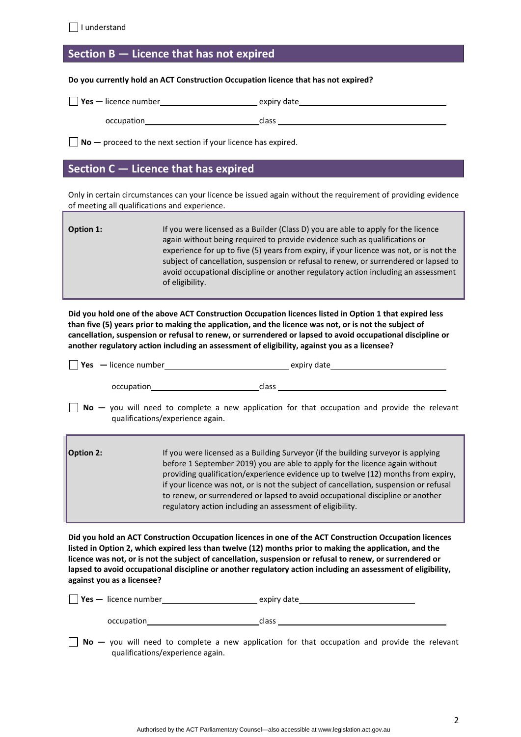## **Section B — Licence that has not expired**

#### **Do you currently hold an ACT Construction Occupation licence that has not expired?**

| $\vert$ Yes — licence number | expiry date |  |
|------------------------------|-------------|--|
| occupation                   | class       |  |

**No** — proceed to the next section if your licence has expired.

## **Section C — Licence that has expired**

Only in certain circumstances can your licence be issued again without the requirement of providing evidence of meeting all qualifications and experience.

**Option 1:** If you were licensed as a Builder (Class D) you are able to apply for the licence again without being required to provide evidence such as qualifications or experience for up to five (5) years from expiry, if your licence was not, or is not the subject of cancellation, suspension or refusal to renew, or surrendered or lapsed to avoid occupational discipline or another regulatory action including an assessment of eligibility.

**Did you hold one of the above ACT Construction Occupation licences listed in Option 1 that expired less than five (5) years prior to making the application, and the licence was not, or is not the subject of cancellation, suspension or refusal to renew, or surrendered or lapsed to avoid occupational discipline or another regulatory action including an assessment of eligibility, against you as a licensee?**

| $\vert$ Yes $\vert$ – licence number | expiry date |
|--------------------------------------|-------------|
| occupation                           | class       |

**No** – you will need to complete a new application for that occupation and provide the relevant qualifications/experience again.

| $\vert$ Option 2: | If you were licensed as a Building Surveyor (if the building surveyor is applying<br>before 1 September 2019) you are able to apply for the licence again without<br>providing qualification/experience evidence up to twelve (12) months from expiry,<br>if your licence was not, or is not the subject of cancellation, suspension or refusal |
|-------------------|-------------------------------------------------------------------------------------------------------------------------------------------------------------------------------------------------------------------------------------------------------------------------------------------------------------------------------------------------|
|                   | to renew, or surrendered or lapsed to avoid occupational discipline or another<br>regulatory action including an assessment of eligibility.                                                                                                                                                                                                     |

**Did you hold an ACT Construction Occupation licences in one of the ACT Construction Occupation licences listed in Option 2, which expired less than twelve (12) months prior to making the application, and the licence was not, or is not the subject of cancellation, suspension or refusal to renew, or surrendered or lapsed to avoid occupational discipline or another regulatory action including an assessment of eligibility, against you as a licensee?**

| $\forall$ es — licence number | expiry date |
|-------------------------------|-------------|
| occupation                    | class       |

**No** — you will need to complete a new application for that occupation and provide the relevant qualifications/experience again.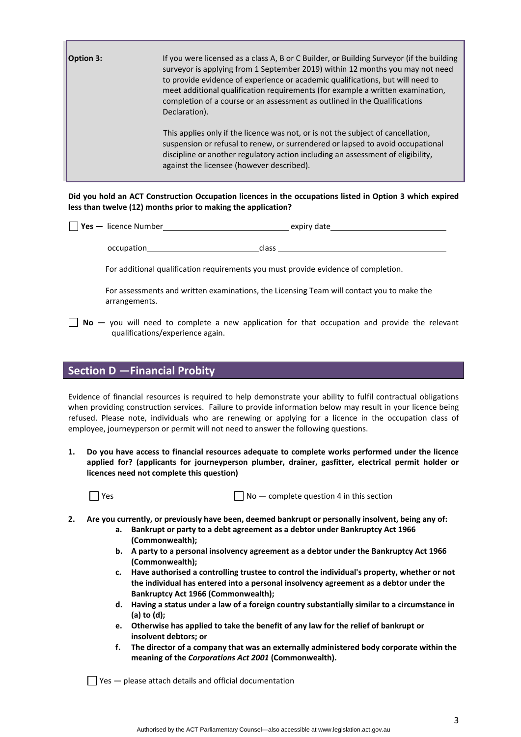| <b>Option 3:</b> | If you were licensed as a class A, B or C Builder, or Building Surveyor (if the building<br>surveyor is applying from 1 September 2019) within 12 months you may not need<br>to provide evidence of experience or academic qualifications, but will need to<br>meet additional qualification requirements (for example a written examination,<br>completion of a course or an assessment as outlined in the Qualifications<br>Declaration). |
|------------------|---------------------------------------------------------------------------------------------------------------------------------------------------------------------------------------------------------------------------------------------------------------------------------------------------------------------------------------------------------------------------------------------------------------------------------------------|
|                  | This applies only if the licence was not, or is not the subject of cancellation,<br>suspension or refusal to renew, or surrendered or lapsed to avoid occupational<br>discipline or another regulatory action including an assessment of eligibility,<br>against the licensee (however described).                                                                                                                                          |

**Did you hold an ACT Construction Occupation licences in the occupations listed in Option 3 which expired less than twelve (12) months prior to making the application?**

| <b>Yes</b> — licence Number | expiry date |
|-----------------------------|-------------|
|                             |             |

occupation class

For additional qualification requirements you must provide evidence of completion.

For assessments and written examinations, the Licensing Team will contact you to make the arrangements.

■ No – you will need to complete a new application for that occupation and provide the relevant qualifications/experience again.

## **Section D —Financial Probity**

Evidence of financial resources is required to help demonstrate your ability to fulfil contractual obligations when providing construction services. Failure to provide information below may result in your licence being refused. Please note, individuals who are renewing or applying for a licence in the occupation class of employee, journeyperson or permit will not need to answer the following questions.

**1. Do you have access to financial resources adequate to complete works performed under the licence applied for? (applicants for journeyperson plumber, drainer, gasfitter, electrical permit holder or licences need not complete this question)**

 $\Box$  Yes  $\Box$  No — complete question 4 in this section

- **2. Are you currently, or previously have been, deemed bankrupt or personally insolvent, being any of:**
	- **a. Bankrupt or party to a debt agreement as a debtor under Bankruptcy Act 1966 (Commonwealth);**
	- **b. A party to a personal insolvency agreement as a debtor under the Bankruptcy Act 1966 (Commonwealth);**
	- **c. Have authorised a controlling trustee to control the individual's property, whether or not the individual has entered into a personal insolvency agreement as a debtor under the Bankruptcy Act 1966 (Commonwealth);**
	- **d. Having a status under a law of a foreign country substantially similar to a circumstance in (a) to (d);**
	- **e. Otherwise has applied to take the benefit of any law for the relief of bankrupt or insolvent debtors; or**
	- **f. The director of a company that was an externally administered body corporate within the meaning of the** *Corporations Act 2001* **(Commonwealth).**

 $\Box$  Yes  $-$  please attach details and official documentation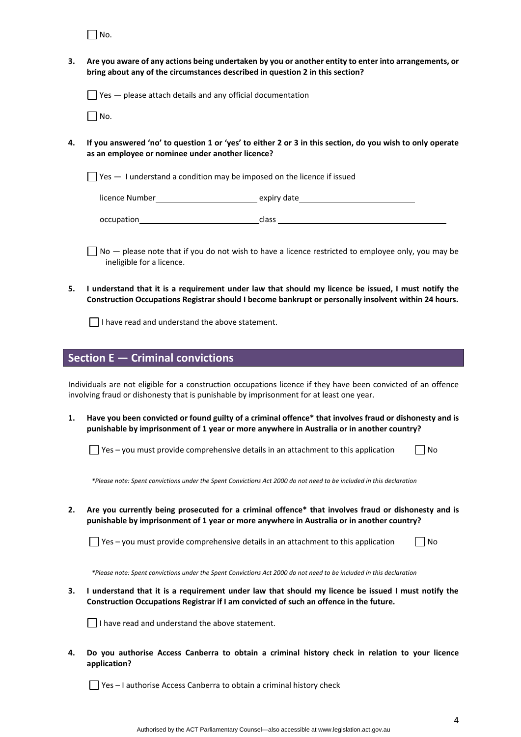$\Box$  No.

**3. Are you aware of any actions being undertaken by you or another entity to enter into arrangements, or bring about any of the circumstances described in question 2 in this section?** 

 $\Box$  Yes  $-$  please attach details and any official documentation

 $\Box$  No.

**4. If you answered 'no' to question 1 or 'yes' to either 2 or 3 in this section, do you wish to only operate as an employee or nominee under another licence?** 

 $\Box$  Yes  $-$  I understand a condition may be imposed on the licence if issued

| licence Number | expiry date |  |
|----------------|-------------|--|
| occupation     | class       |  |

 $\Box$  No  $-$  please note that if you do not wish to have a licence restricted to employee only, you may be ineligible for a licence.

**5. I understand that it is a requirement under law that should my licence be issued, I must notify the Construction Occupations Registrar should I become bankrupt or personally insolvent within 24 hours.**

 $\Box$  I have read and understand the above statement.

## **Section E — Criminal convictions**

Individuals are not eligible for a construction occupations licence if they have been convicted of an offence involving fraud or dishonesty that is punishable by imprisonment for at least one year.

**1. Have you been convicted or found guilty of a criminal offence\* that involves fraud or dishonesty and is punishable by imprisonment of 1 year or more anywhere in Australia or in another country?** 

| $\Box$ No<br>$\Box$ Yes – you must provide comprehensive details in an attachment to this application |  |  |  |
|-------------------------------------------------------------------------------------------------------|--|--|--|
|-------------------------------------------------------------------------------------------------------|--|--|--|

 *\*Please note: Spent convictions under the Spent Convictions Act 2000 do not need to be included in this declaration*

**2. Are you currently being prosecuted for a criminal offence\* that involves fraud or dishonesty and is punishable by imprisonment of 1 year or more anywhere in Australia or in another country?** 

 $\Box$  Yes – you must provide comprehensive details in an attachment to this application  $\Box$  No

 *\*Please note: Spent convictions under the Spent Convictions Act 2000 do not need to be included in this declaration*

**3. I understand that it is a requirement under law that should my licence be issued I must notify the Construction Occupations Registrar if I am convicted of such an offence in the future.** 

 $\Box$  I have read and understand the above statement.

**4. Do you authorise Access Canberra to obtain a criminal history check in relation to your licence application?**

 $\Box$  Yes – I authorise Access Canberra to obtain a criminal history check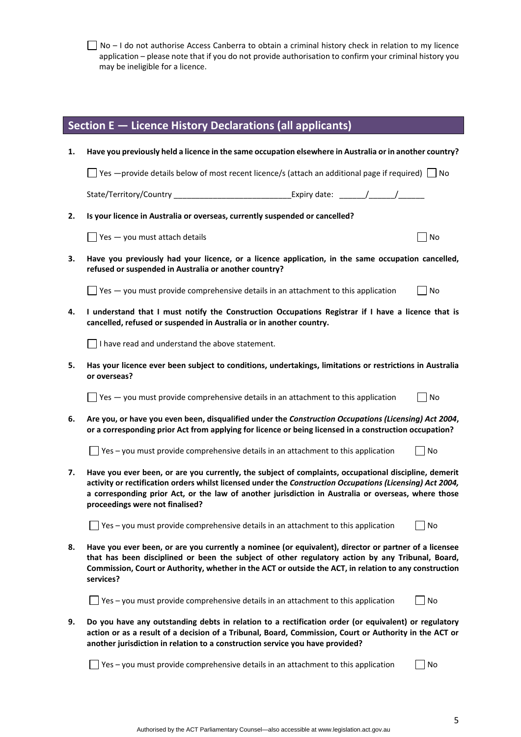□ No – I do not authorise Access Canberra to obtain a criminal history check in relation to my licence application – please note that if you do not provide authorisation to confirm your criminal history you may be ineligible for a licence.

|    | Section E — Licence History Declarations (all applicants)                                                                                                                                                                                                                                                                                                    |                             |
|----|--------------------------------------------------------------------------------------------------------------------------------------------------------------------------------------------------------------------------------------------------------------------------------------------------------------------------------------------------------------|-----------------------------|
| 1. | Have you previously held a licence in the same occupation elsewhere in Australia or in another country?                                                                                                                                                                                                                                                      |                             |
|    | $\Box$ Yes —provide details below of most recent licence/s (attach an additional page if required) $\Box$ No                                                                                                                                                                                                                                                 |                             |
|    | State/Territory/Country                                                                                                                                                                                                                                                                                                                                      |                             |
| 2. | Is your licence in Australia or overseas, currently suspended or cancelled?                                                                                                                                                                                                                                                                                  |                             |
|    | $\blacksquare$ Yes $\smile$ you must attach details                                                                                                                                                                                                                                                                                                          | No                          |
| 3. | Have you previously had your licence, or a licence application, in the same occupation cancelled,<br>refused or suspended in Australia or another country?                                                                                                                                                                                                   |                             |
|    | $\Box$ Yes $-$ you must provide comprehensive details in an attachment to this application                                                                                                                                                                                                                                                                   | No                          |
| 4. | I understand that I must notify the Construction Occupations Registrar if I have a licence that is<br>cancelled, refused or suspended in Australia or in another country.                                                                                                                                                                                    |                             |
|    | $\Box$ I have read and understand the above statement.                                                                                                                                                                                                                                                                                                       |                             |
| 5. | Has your licence ever been subject to conditions, undertakings, limitations or restrictions in Australia<br>or overseas?                                                                                                                                                                                                                                     |                             |
|    | $\Box$ Yes $-$ you must provide comprehensive details in an attachment to this application                                                                                                                                                                                                                                                                   | $\overline{\phantom{a}}$ No |
| 6. | Are you, or have you even been, disqualified under the Construction Occupations (Licensing) Act 2004,<br>or a corresponding prior Act from applying for licence or being licensed in a construction occupation?                                                                                                                                              |                             |
|    | $\Box$ Yes – you must provide comprehensive details in an attachment to this application<br><b>No</b>                                                                                                                                                                                                                                                        |                             |
| 7. | Have you ever been, or are you currently, the subject of complaints, occupational discipline, demerit<br>activity or rectification orders whilst licensed under the Construction Occupations (Licensing) Act 2004,<br>a corresponding prior Act, or the law of another jurisdiction in Australia or overseas, where those<br>proceedings were not finalised? |                             |
|    | Yes - you must provide comprehensive details in an attachment to this application                                                                                                                                                                                                                                                                            | No                          |
| 8. | Have you ever been, or are you currently a nominee (or equivalent), director or partner of a licensee<br>that has been disciplined or been the subject of other regulatory action by any Tribunal, Board,<br>Commission, Court or Authority, whether in the ACT or outside the ACT, in relation to any construction<br>services?                             |                             |
|    | J Yes – you must provide comprehensive details in an attachment to this application                                                                                                                                                                                                                                                                          | No                          |
| 9. | Do you have any outstanding debts in relation to a rectification order (or equivalent) or regulatory<br>action or as a result of a decision of a Tribunal, Board, Commission, Court or Authority in the ACT or<br>another jurisdiction in relation to a construction service you have provided?                                                              |                             |
|    | Yes - you must provide comprehensive details in an attachment to this application                                                                                                                                                                                                                                                                            | No                          |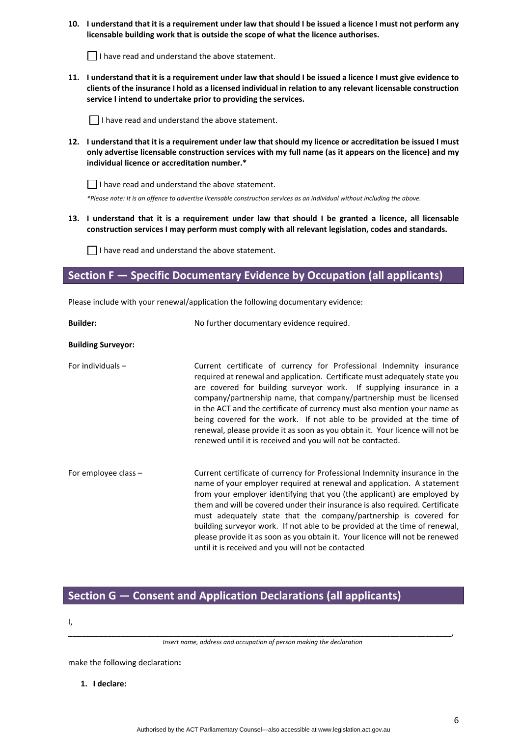**10. I understand that it is a requirement under law that should I be issued a licence I must not perform any licensable building work that is outside the scope of what the licence authorises.**

 $\Box$  I have read and understand the above statement.

**11. I understand that it is a requirement under law that should I be issued a licence I must give evidence to clients of the insurance I hold as a licensed individual in relation to any relevant licensable construction service I intend to undertake prior to providing the services.**

 $\Box$  I have read and understand the above statement.

**12. I understand that it is a requirement under law that should my licence or accreditation be issued I must only advertise licensable construction services with my full name (as it appears on the licence) and my individual licence or accreditation number.\*** 

 $\Box$  I have read and understand the above statement.

*\*Please note: It is an offence to advertise licensable construction services as an individual without including the above.*

**13. I understand that it is a requirement under law that should I be granted a licence, all licensable construction services I may perform must comply with all relevant legislation, codes and standards.**

 $\Box$  I have read and understand the above statement.

**Section F — Specific Documentary Evidence by Occupation (all applicants)**

Please include with your renewal/application the following documentary evidence:

| <b>Builder:</b>           | No further documentary evidence required.                                                                                                                                                                                                                                                                                                                                                                                                                                                                                                                                                                 |
|---------------------------|-----------------------------------------------------------------------------------------------------------------------------------------------------------------------------------------------------------------------------------------------------------------------------------------------------------------------------------------------------------------------------------------------------------------------------------------------------------------------------------------------------------------------------------------------------------------------------------------------------------|
| <b>Building Surveyor:</b> |                                                                                                                                                                                                                                                                                                                                                                                                                                                                                                                                                                                                           |
| For individuals $-$       | Current certificate of currency for Professional Indemnity insurance<br>required at renewal and application. Certificate must adequately state you<br>are covered for building surveyor work. If supplying insurance in a<br>company/partnership name, that company/partnership must be licensed<br>in the ACT and the certificate of currency must also mention your name as<br>being covered for the work. If not able to be provided at the time of<br>renewal, please provide it as soon as you obtain it. Your licence will not be<br>renewed until it is received and you will not be contacted.    |
| For employee class -      | Current certificate of currency for Professional Indemnity insurance in the<br>name of your employer required at renewal and application. A statement<br>from your employer identifying that you (the applicant) are employed by<br>them and will be covered under their insurance is also required. Certificate<br>must adequately state that the company/partnership is covered for<br>building surveyor work. If not able to be provided at the time of renewal,<br>please provide it as soon as you obtain it. Your licence will not be renewed<br>until it is received and you will not be contacted |

# **Section G — Consent and Application Declarations (all applicants)**

I,

\_\_\_\_\_\_\_\_\_\_\_\_\_\_\_\_\_\_\_\_\_\_\_\_\_\_\_\_\_\_\_\_\_\_\_\_\_\_\_\_\_\_\_\_\_\_\_\_\_\_\_\_\_\_\_\_\_\_\_\_\_\_\_\_\_\_\_\_\_\_\_\_\_\_\_\_\_\_\_\_\_\_\_\_\_\_\_\_, *Insert name, address and occupation of person making the declaration*

make the following declaration**:**

**1. I declare:**